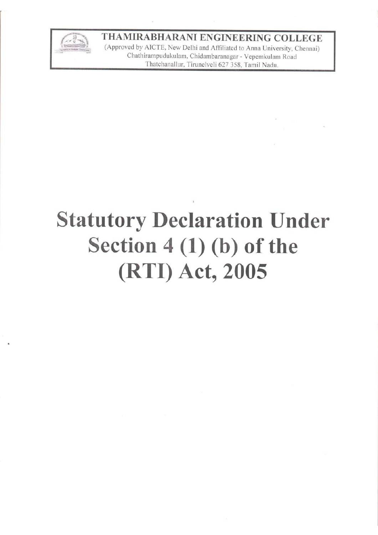

## THAMIRABHARANI ENGINEERING COLLEGE

(Approved by AICTE, New Delhi and Affiliated to Anna University, Chennai) Chathirampudukulam, Chidambaranagar - Vepemkulam Road Thatchanallur, Tirunelveli 627 358, Tamil Nadu.

# **Statutory Declaration Under** Section  $4(1)(b)$  of the (RTI) Act, 2005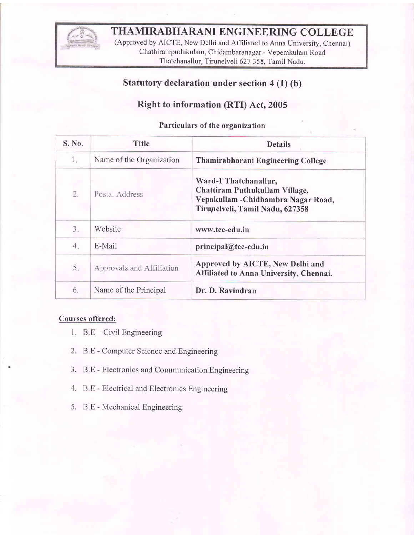

# THAMIRABHARANI ENGINEERING COLLEGE

(Approved by AICTE, New Delhi and Affiliated to Anna University, chennai) Chathirampudukulam, Chidambaranagar - Vepemkulam Road Thatchanallur, Tirunelveli 627 358, Tamil Nadu.

### Statutory declaration under section 4 (1) (b)

#### Right to information (RTI) Act,2005

#### Particulars of the organization

| S. No. | <b>Title</b>              | <b>Details</b>                                                                                                                    |  |
|--------|---------------------------|-----------------------------------------------------------------------------------------------------------------------------------|--|
| 1.     | Name of the Organization  | Thamirabharani Engineering College                                                                                                |  |
| 2.     | Postal Address            | Ward-1 Thatchanallur,<br>Chattiram Puthukullam Village,<br>Vepakullam - Chidhambra Nagar Road,<br>Tirunelveli, Tamil Nadu, 627358 |  |
| 3.     | Website                   | www.tec-edu.in                                                                                                                    |  |
| 4.     | E-Mail                    | principal@tec-edu.in                                                                                                              |  |
| 5.     | Approvals and Affiliation | Approved by AICTE, New Delhi and<br>Affiliated to Anna University, Chennai.                                                       |  |
| 6.     | Name of the Principal     | Dr. D. Ravindran                                                                                                                  |  |

#### Courses offered:

- l. B.E Civil Engineering
- 2. B.E Computer Science and Engineering
- 3. B.E Electronics and Communication Engineering
- 4. B.E Electrical and Electronics Engineering
- 5. B.E Mechanical Engineering